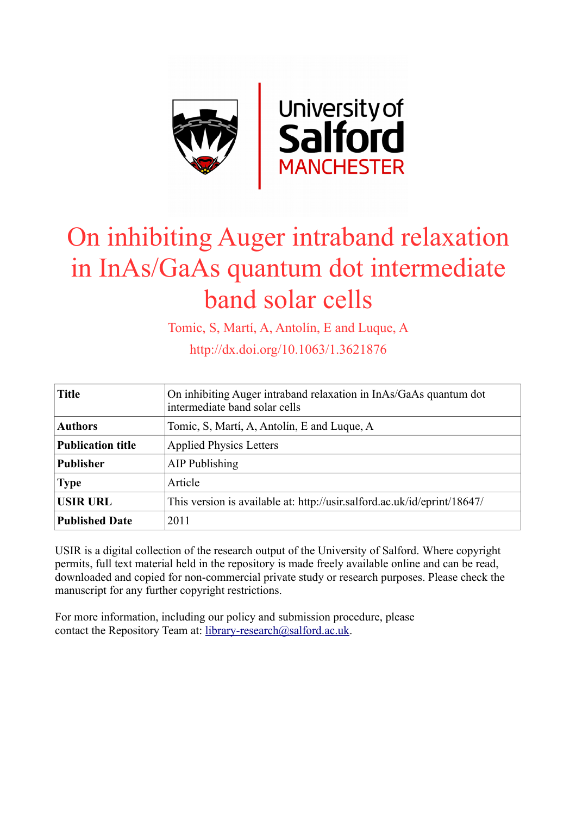

## On inhibiting Auger intraband relaxation in InAs/GaAs quantum dot intermediate band solar cells

Tomic, S, Martí, A, Antolín, E and Luque, A

http://dx.doi.org/10.1063/1.3621876

| <b>Title</b>             | On inhibiting Auger intraband relaxation in InAs/GaAs quantum dot<br>intermediate band solar cells |
|--------------------------|----------------------------------------------------------------------------------------------------|
| <b>Authors</b>           | Tomic, S. Martí, A. Antolín, E and Luque, A.                                                       |
| <b>Publication title</b> | <b>Applied Physics Letters</b>                                                                     |
| <b>Publisher</b>         | AIP Publishing                                                                                     |
| <b>Type</b>              | Article                                                                                            |
| <b>USIR URL</b>          | This version is available at: http://usir.salford.ac.uk/id/eprint/18647/                           |
| <b>Published Date</b>    | 2011                                                                                               |

USIR is a digital collection of the research output of the University of Salford. Where copyright permits, full text material held in the repository is made freely available online and can be read, downloaded and copied for non-commercial private study or research purposes. Please check the manuscript for any further copyright restrictions.

For more information, including our policy and submission procedure, please contact the Repository Team at: [library-research@salford.ac.uk.](mailto:library-research@salford.ac.uk)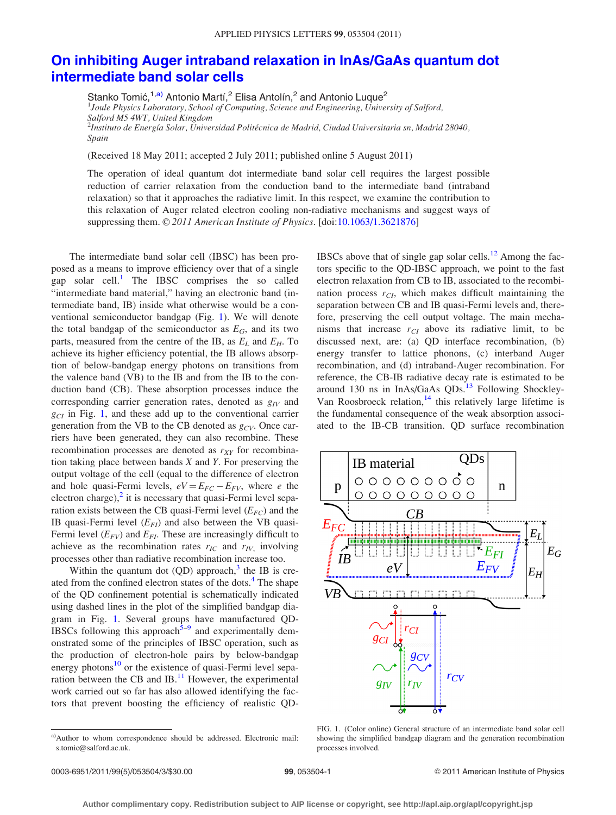## [On inhibiting Auger intraband relaxation in InAs/GaAs quantum dot](http://dx.doi.org/10.1063/1.3621876) [intermediate band solar cells](http://dx.doi.org/10.1063/1.3621876)

Stanko Tomić,<sup>1,a)</sup> Antonio Martí,<sup>2</sup> Elisa Antolín,<sup>2</sup> and Antonio Luque<sup>2</sup>

<sup>1</sup>Joule Physics Laboratory, School of Computing, Science and Engineering, University of Salford, Salford M5 4WT, United Kingdom  $^2$ Instituto de Energía Solar, Universidad Politécnica de Madrid, Ciudad Universitaria sn, Madrid 28040, Spain

(Received 18 May 2011; accepted 2 July 2011; published online 5 August 2011)

The operation of ideal quantum dot intermediate band solar cell requires the largest possible reduction of carrier relaxation from the conduction band to the intermediate band (intraband relaxation) so that it approaches the radiative limit. In this respect, we examine the contribution to this relaxation of Auger related electron cooling non-radiative mechanisms and suggest ways of suppressing them.  $\odot$  2011 American Institute of Physics. [doi[:10.1063/1.3621876](http://dx.doi.org/10.1063/1.3621876)]

The intermediate band solar cell (IBSC) has been proposed as a means to improve efficiency over that of a single gap solar cell.<sup>[1](#page-3-0)</sup> The IBSC comprises the so called "intermediate band material," having an electronic band (intermediate band, IB) inside what otherwise would be a conventional semiconductor bandgap (Fig. 1). We will denote the total bandgap of the semiconductor as  $E_G$ , and its two parts, measured from the centre of the IB, as  $E_L$  and  $E_H$ . To achieve its higher efficiency potential, the IB allows absorption of below-bandgap energy photons on transitions from the valence band (VB) to the IB and from the IB to the conduction band (CB). These absorption processes induce the corresponding carrier generation rates, denoted as  $g_{IV}$  and  $g_{CI}$  in Fig. 1, and these add up to the conventional carrier generation from the VB to the CB denoted as  $g_{CV}$ . Once carriers have been generated, they can also recombine. These recombination processes are denoted as  $r_{XY}$  for recombination taking place between bands  $X$  and  $Y$ . For preserving the output voltage of the cell (equal to the difference of electron and hole quasi-Fermi levels,  $eV = E_{FC} - E_{FV}$ , where e the electron charge), $^2$  $^2$  it is necessary that quasi-Fermi level separation exists between the CB quasi-Fermi level  $(E_{FC})$  and the IB quasi-Fermi level  $(E_{FI})$  and also between the VB quasi-Fermi level  $(E_{FV})$  and  $E_{FI}$ . These are increasingly difficult to achieve as the recombination rates  $r_{IC}$  and  $r_{IV}$ , involving processes other than radiative recombination increase too.

Within the quantum dot  $(QD)$  approach,<sup>[3](#page-3-0)</sup> the IB is cre-ated from the confined electron states of the dots.<sup>[4](#page-3-0)</sup> The shape of the QD confinement potential is schematically indicated using dashed lines in the plot of the simplified bandgap diagram in Fig. 1. Several groups have manufactured QD-IBSCs following this approach $5-9$  and experimentally demonstrated some of the principles of IBSC operation, such as the production of electron-hole pairs by below-bandgap energy photons $10$  or the existence of quasi-Fermi level separation between the CB and  $IB$ .<sup>11</sup> However, the experimental work carried out so far has also allowed identifying the factors that prevent boosting the efficiency of realistic QD- IBSCs above that of single gap solar cells. $12$  Among the factors specific to the QD-IBSC approach, we point to the fast electron relaxation from CB to IB, associated to the recombination process  $r_{CI}$ , which makes difficult maintaining the separation between CB and IB quasi-Fermi levels and, therefore, preserving the cell output voltage. The main mechanisms that increase  $r_{CI}$  above its radiative limit, to be discussed next, are: (a) QD interface recombination, (b) energy transfer to lattice phonons, (c) interband Auger recombination, and (d) intraband-Auger recombination. For reference, the CB-IB radiative decay rate is estimated to be around [13](#page-3-0)0 ns in InAs/GaAs  $QDs$ .<sup>13</sup> Following Shockley-Van Roosbroeck relation, $14$  this relatively large lifetime is the fundamental consequence of the weak absorption associated to the IB-CB transition. QD surface recombination



FIG. 1. (Color online) General structure of an intermediate band solar cell showing the simplified bandgap diagram and the generation recombination processes involved.

a)Author to whom correspondence should be addressed. Electronic mail: s.tomic@salford.ac.uk.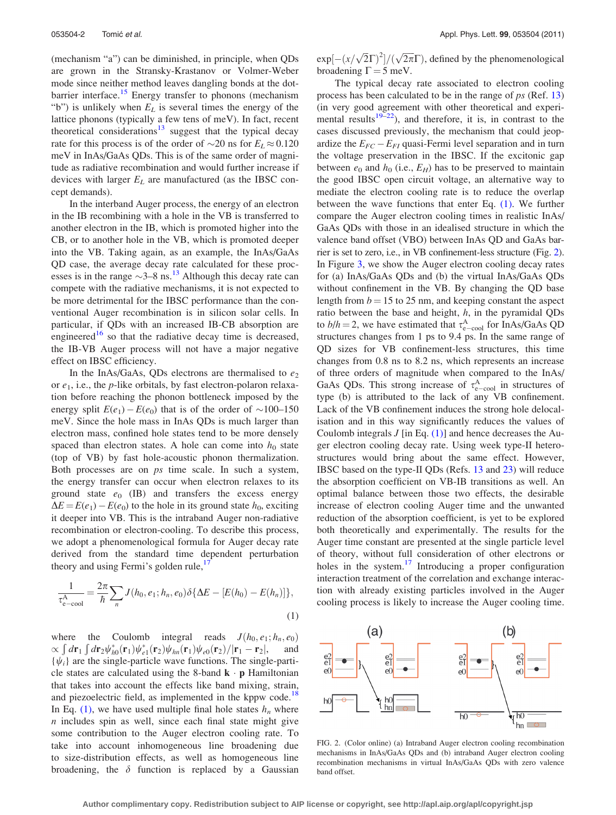(mechanism "a") can be diminished, in principle, when QDs are grown in the Stransky-Krastanov or Volmer-Weber mode since neither method leaves dangling bonds at the dot-barrier interface.<sup>[15](#page-3-0)</sup> Energy transfer to phonons (mechanism "b") is unlikely when  $E_L$  is several times the energy of the lattice phonons (typically a few tens of meV). In fact, recent theoretical considerations $13$  suggest that the typical decay rate for this process is of the order of  $\sim$ 20 ns for  $E_L \approx 0.120$ meV in InAs/GaAs QDs. This is of the same order of magnitude as radiative recombination and would further increase if devices with larger  $E_L$  are manufactured (as the IBSC concept demands).

In the interband Auger process, the energy of an electron in the IB recombining with a hole in the VB is transferred to another electron in the IB, which is promoted higher into the CB, or to another hole in the VB, which is promoted deeper into the VB. Taking again, as an example, the InAs/GaAs QD case, the average decay rate calculated for these processes is in the range  $\sim$ 3–8 ns.<sup>[13](#page-3-0)</sup> Although this decay rate can compete with the radiative mechanisms, it is not expected to be more detrimental for the IBSC performance than the conventional Auger recombination is in silicon solar cells. In particular, if QDs with an increased IB-CB absorption are engineered<sup>[16](#page-3-0)</sup> so that the radiative decay time is decreased, the IB-VB Auger process will not have a major negative effect on IBSC efficiency.

In the InAs/GaAs, QDs electrons are thermalised to  $e_2$ or  $e_1$ , i.e., the *p*-like orbitals, by fast electron-polaron relaxation before reaching the phonon bottleneck imposed by the energy split  $E(e_1) - E(e_0)$  that is of the order of  $\sim 100-150$ meV. Since the hole mass in InAs QDs is much larger than electron mass, confined hole states tend to be more densely spaced than electron states. A hole can come into  $h_0$  state (top of VB) by fast hole-acoustic phonon thermalization. Both processes are on ps time scale. In such a system, the energy transfer can occur when electron relaxes to its ground state  $e_0$  (IB) and transfers the excess energy  $\Delta E = E(e_1) - E(e_0)$  to the hole in its ground state  $h_0$ , exciting it deeper into VB. This is the intraband Auger non-radiative recombination or electron-cooling. To describe this process, we adopt a phenomenological formula for Auger decay rate derived from the standard time dependent perturbation theory and using Fermi's golden rule, $\frac{1}{x}$ 

$$
\frac{1}{\tau_{e-cool}^A} = \frac{2\pi}{\hbar} \sum_n J(h_0, e_1; h_n, e_0) \delta \{\Delta E - [E(h_0) - E(h_n)]\},\tag{1}
$$

where the Coulomb integral reads  $J(h_0, e_1; h_n, e_0)$  $\propto \int d\mathbf{r}_1 \int d\mathbf{r}_2 \psi_{h0}^*(\mathbf{r}_1)\psi_{e1}^*(\mathbf{r}_2)\psi_{hn}(\mathbf{r}_1)\psi_{e0}(\mathbf{r}_2)/|\mathbf{r}_1-\mathbf{r}_2|,$  and  $\{\psi_i\}$  are the single-particle wave functions. The single-particle states are calculated using the 8-band  $\mathbf{k} \cdot \mathbf{p}$  Hamiltonian that takes into account the effects like band mixing, strain, and piezoelectric field, as implemented in the kppw code.<sup>[18](#page-3-0)</sup> In Eq. [\(1\)](#page-3-0), we have used multiple final hole states  $h_n$  where  $n$  includes spin as well, since each final state might give some contribution to the Auger electron cooling rate. To take into account inhomogeneous line broadening due to size-distribution effects, as well as homogeneous line broadening, the  $\delta$  function is replaced by a Gaussian

 $exp[-(x/\sqrt{2}\Gamma)^2]/(\sqrt{2\pi}\Gamma)$ , defined by the phenomenological broadening  $\Gamma = 5$  meV.

The typical decay rate associated to electron cooling process has been calculated to be in the range of  $ps$  (Ref. [13\)](#page-3-0) (in very good agreement with other theoretical and experimental results $19-22$ ), and therefore, it is, in contrast to the cases discussed previously, the mechanism that could jeopardize the  $E_{FC} - E_{FI}$  quasi-Fermi level separation and in turn the voltage preservation in the IBSC. If the excitonic gap between  $e_0$  and  $h_0$  (i.e.,  $E_H$ ) has to be preserved to maintain the good IBSC open circuit voltage, an alternative way to mediate the electron cooling rate is to reduce the overlap between the wave functions that enter Eq. [\(1\).](#page-3-0) We further compare the Auger electron cooling times in realistic InAs/ GaAs QDs with those in an idealised structure in which the valence band offset (VBO) between InAs QD and GaAs barrier is set to zero, i.e., in VB confinement-less structure (Fig. 2). In Figure [3](#page-3-0), we show the Auger electron cooling decay rates for (a) InAs/GaAs QDs and (b) the virtual InAs/GaAs QDs without confinement in the VB. By changing the QD base length from  $b = 15$  to 25 nm, and keeping constant the aspect ratio between the base and height,  $h$ , in the pyramidal QDs to  $b/h = 2$ , we have estimated that  $\tau_{e-{\rm cool}}^{\rm A}$  for InAs/GaAs QD structures changes from 1 ps to 9.4 ps. In the same range of QD sizes for VB confinement-less structures, this time changes from 0.8 ns to 8.2 ns, which represents an increase of three orders of magnitude when compared to the InAs/ GaAs QDs. This strong increase of  $\tau_{e-cool}^{A}$  in structures of type (b) is attributed to the lack of any VB confinement. Lack of the VB confinement induces the strong hole delocalisation and in this way significantly reduces the values of Coulomb integrals  $J$  [in Eq. [\(1\)\]](#page-3-0) and hence decreases the Auger electron cooling decay rate. Using week type-II heterostructures would bring about the same effect. However, IBSC based on the type-II QDs (Refs. [13](#page-3-0) and [23](#page-3-0)) will reduce the absorption coefficient on VB-IB transitions as well. An optimal balance between those two effects, the desirable increase of electron cooling Auger time and the unwanted reduction of the absorption coefficient, is yet to be explored both theoretically and experimentally. The results for the Auger time constant are presented at the single particle level of theory, without full consideration of other electrons or holes in the system.<sup>[17](#page-3-0)</sup> Introducing a proper configuration interaction treatment of the correlation and exchange interaction with already existing particles involved in the Auger cooling process is likely to increase the Auger cooling time.



FIG. 2. (Color online) (a) Intraband Auger electron cooling recombination mechanisms in InAs/GaAs QDs and (b) intraband Auger electron cooling recombination mechanisms in virtual InAs/GaAs QDs with zero valence band offset.